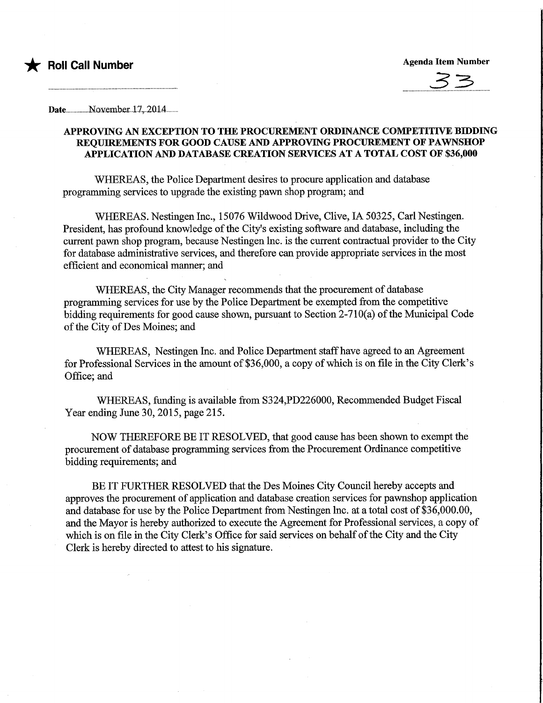



Date.................N.Qxember..l.7,..2014...

## APPROVING AN EXCEPTION TO THE PROCUREMENT ORDINANCE COMPETITIVE BIDDING REQUIREMENTS FOR GOOD CAUSE AND APPROVING PROCUREMENT OF PAWNSHOP APPLICATION AND DATABASE CREATION SERVICES AT A TOTAL COST OF \$36,000

WHEREAS, the Police Department desires to procure application and database programming services to upgrade the existing pawn shop program; and

WHEREAS. Nestingen Inc., 15076 Wildwood Drive, Clive, IA 50325, Carl Nestingen. President, has profound knowledge of the City's existing software and database, mcluding the current pawn shop program, because Nestingen Inc. is the current contractual provider to the City for database administrative services, and therefore can provide appropriate services in the most efficient and economical manner; and

WHEREAS, the City Manager recommends that the procurement of database programming services for use by the Police Department be exempted from the competitive bidding requirements for good cause shown, pursuant to Section 2-710(a) of the Municipal Code of the City of Des Moines; and

WHEREAS, Nestingen Inc. and Police Department staff have agreed to an Agreement for Professional Services in the amount of \$36,000, a copy of which is on file in the City Clerk's Office; and

WHEREAS, funding is available from S324,PD226000, Recommended Budget Fiscal Year ending June 30, 2015, page 215.

NOW THEREFORE BE IT RESOLVED, that good cause has been shown to exempt the procurement of database programming services from the Procurement Ordinance competitive bidding requirements; and

BE IT FURTHER RESOLVED that the Des Moines City Council hereby accepts and approves the procurement of application and database creation services for pawnshop application and database for use by the Police Department from Nestingen lnc. at a total cost of \$36,000.00, and the Mayor is hereby authorized to execute the Agreement for Professional services, a copy of which is on file in the City Clerk's Office for said services on behalf of the City and the City Clerk is hereby directed to attest to his signature.